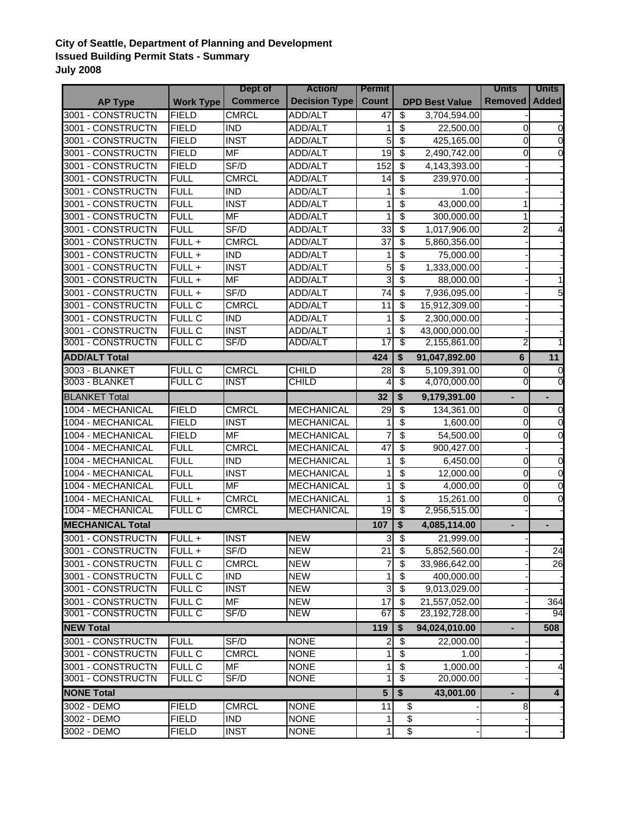## **City of Seattle, Department of Planning and Development Issued Building Permit Stats - Summary July 2008**

|                         |                         | Dept of                      | <b>Action</b>        | <b>Permit</b>   |                                      |                           | <b>Units</b>   | <b>Units</b>   |
|-------------------------|-------------------------|------------------------------|----------------------|-----------------|--------------------------------------|---------------------------|----------------|----------------|
| <b>AP Type</b>          | <b>Work Type</b>        | <b>Commerce</b>              | <b>Decision Type</b> | <b>Count</b>    |                                      | <b>DPD Best Value</b>     | <b>Removed</b> | <b>Added</b>   |
| 3001 - CONSTRUCTN       | <b>FIELD</b>            | <b>CMRCL</b>                 | ADD/ALT              | 47              | $\overline{\$}$                      | 3,704,594.00              |                |                |
| 3001 - CONSTRUCTN       | <b>FIELD</b>            | <b>IND</b>                   | <b>ADD/ALT</b>       | 1               | \$                                   | 22,500.00                 | 0              | 0              |
| 3001 - CONSTRUCTN       | <b>FIELD</b>            | <b>INST</b>                  | ADD/ALT              | 5               | $\overline{\$}$                      | 425,165.00                | $\Omega$       | $\mathbf 0$    |
| 3001 - CONSTRUCTN       | <b>FIELD</b>            | <b>MF</b>                    | ADD/ALT              | 19              | $\overline{\mathbf{3}}$              | 2,490,742.00              | $\Omega$       | 0              |
| 3001 - CONSTRUCTN       | <b>FIELD</b>            | SF/D                         | ADD/ALT              | 152             | \$                                   | 4,143,393.00              |                |                |
| 3001 - CONSTRUCTN       | <b>FULL</b>             | <b>CMRCL</b>                 | ADD/ALT              | 14              | \$                                   | 239,970.00                |                |                |
| 3001 - CONSTRUCTN       | <b>FULL</b>             | <b>IND</b>                   | <b>ADD/ALT</b>       | 1               | \$                                   | 1.00                      |                |                |
| 3001 - CONSTRUCTN       | <b>FULL</b>             | <b>INST</b>                  | ADD/ALT              | 1               | \$                                   | 43,000.00                 | 1              |                |
| 3001 - CONSTRUCTN       | <b>FULL</b>             | <b>MF</b>                    | ADD/ALT              | 1               | $\overline{\boldsymbol{\theta}}$     | 300,000.00                | $\mathbf{1}$   |                |
| 3001 - CONSTRUCTN       | <b>FULL</b>             | SF/D                         | <b>ADD/ALT</b>       | 33              | $\overline{\mathbf{e}}$              | 1,017,906.00              | $\overline{2}$ |                |
| 3001 - CONSTRUCTN       | FULL +                  | <b>CMRCL</b>                 | ADD/ALT              | $\overline{37}$ | $\overline{\$}$                      | 5,860,356.00              |                |                |
| 3001 - CONSTRUCTN       | FULL +                  | <b>IND</b>                   | ADD/ALT              | $\mathbf{1}$    | $\overline{\mathbf{3}}$              | 75,000.00                 |                |                |
| 3001 - CONSTRUCTN       | $FULL +$                | <b>INST</b>                  | ADD/ALT              | 5               | $\overline{\mathcal{S}}$             | 1,333,000.00              |                |                |
| 3001 - CONSTRUCTN       | FULL +                  | $\overline{\mathsf{MF}}$     | ADD/ALT              | ω               | $\overline{\mathcal{S}}$             | 88,000.00                 |                |                |
| 3001 - CONSTRUCTN       | $FULL +$                | SF/D                         | <b>ADD/ALT</b>       | $\overline{74}$ | $\overline{\mathbf{s}}$              | 7,936,095.00              |                |                |
| 3001 - CONSTRUCTN       | <b>FULL C</b>           | <b>CMRCL</b>                 | ADD/ALT              | $\overline{11}$ | $\overline{\mathbf{s}}$              | 15,912,309.00             |                |                |
| 3001 - CONSTRUCTN       | <b>FULL C</b>           | <b>IND</b>                   | ADD/ALT              | 1               | $\overline{\boldsymbol{\mathsf{s}}}$ | 2,300,000.00              |                |                |
| 3001 - CONSTRUCTN       | <b>FULL C</b>           | <b>INST</b>                  | ADD/ALT              | 1               | $\overline{\mathbf{e}}$              | 43,000,000.00             |                |                |
| 3001 - CONSTRUCTN       | <b>FULL C</b>           | SF/D                         | <b>ADD/ALT</b>       | $\overline{17}$ | \$                                   | 2,155,861.00              | 2              |                |
| <b>ADD/ALT Total</b>    |                         |                              |                      | 424             | \$                                   | 91,047,892.00             | $6\phantom{a}$ | 11             |
| 3003 - BLANKET          | <b>FULL C</b>           | <b>CMRCL</b>                 | <b>CHILD</b>         | 28              | $\overline{\mathbf{3}}$              | 5,109,391.00              | 0              | 0              |
| 3003 - BLANKET          | <b>FULL C</b>           | <b>INST</b>                  | <b>CHILD</b>         | 4               | $\overline{\$}$                      | 4,070,000.00              | 0              | 0              |
| <b>BLANKET Total</b>    |                         |                              |                      | 32              | \$                                   | 9,179,391.00              | ÷.             | ÷.             |
| 1004 - MECHANICAL       | <b>FIELD</b>            | <b>CMRCL</b>                 | <b>MECHANICAL</b>    | $\overline{29}$ | $\overline{\$}$                      | 134,361.00                | $\Omega$       | 0              |
| 1004 - MECHANICAL       | <b>FIELD</b>            | <b>INST</b>                  | <b>MECHANICAL</b>    | 1               | \$                                   | 1,600.00                  | $\Omega$       | 0              |
| 1004 - MECHANICAL       | <b>FIELD</b>            | <b>MF</b>                    | <b>MECHANICAL</b>    | $\overline{7}$  | \$                                   | 54,500.00                 | $\Omega$       | 0              |
| 1004 - MECHANICAL       | <b>FULL</b>             | <b>CMRCL</b>                 | <b>MECHANICAL</b>    | $\overline{47}$ | $\overline{\boldsymbol{\mathsf{s}}}$ | 900,427.00                |                |                |
| 1004 - MECHANICAL       | <b>FULL</b>             | <b>IND</b>                   | <b>MECHANICAL</b>    | 1               | $\overline{\boldsymbol{\mathsf{s}}}$ | 6,450.00                  | 0              | 0              |
| 1004 - MECHANICAL       | <b>FULL</b>             | <b>INST</b>                  | <b>MECHANICAL</b>    | 1               | $\overline{\boldsymbol{\mathsf{s}}}$ | 12,000.00                 | 0              | $\overline{0}$ |
| 1004 - MECHANICAL       | <b>FULL</b>             | $\overline{\mathsf{MF}}$     | <b>MECHANICAL</b>    | 1               | $\overline{\boldsymbol{\mathsf{s}}}$ | 4,000.00                  | $\overline{0}$ | $\overline{0}$ |
| 1004 - MECHANICAL       |                         |                              | <b>MECHANICAL</b>    |                 | $\overline{\$}$                      |                           | $\Omega$       | $\Omega$       |
| 1004 - MECHANICAL       | FULL +<br><b>FULL C</b> | <b>CMRCL</b><br><b>CMRCL</b> | <b>MECHANICAL</b>    | 1<br>19         | \$                                   | 15,261.00<br>2,956,515.00 |                |                |
|                         |                         |                              |                      |                 |                                      |                           |                |                |
| <b>MECHANICAL Total</b> |                         |                              |                      | 107             | \$                                   | 4,085,114.00              | ٠              | ۰              |
| 3001 - CONSTRUCTN       | FULL +                  | <b>INST</b>                  | <b>NEW</b>           | 3               | $\overline{\mathcal{E}}$             | 21,999.00                 |                |                |
| 3001 - CONSTRUCTN       | FULL +                  | SF/D                         | <b>NEW</b>           | 21              | \$                                   | 5,852,560.00              |                | 24             |
| 3001 - CONSTRUCTN       | <b>FULL C</b>           | <b>CMRCL</b>                 | <b>NEW</b>           | $\overline{7}$  | \$                                   | 33,986,642.00             |                | 26             |
| 3001 - CONSTRUCTN       | <b>FULL C</b>           | <b>IND</b>                   | <b>NEW</b>           | 1               | $\boldsymbol{\mathsf{S}}$            | 400,000.00                |                |                |
| 3001 - CONSTRUCTN       | <b>FULL C</b>           | <b>INST</b>                  | <b>NEW</b>           | دن              | $\overline{\mathbf{s}}$              | 9,013,029.00              |                |                |
| 3001 - CONSTRUCTN       | <b>FULL C</b>           | <b>MF</b>                    | <b>NEW</b>           | 17              | \$                                   | 21,557,052.00             |                | 364            |
| 3001 - CONSTRUCTN       | <b>FULL C</b>           | SF/D                         | <b>NEW</b>           | 67              | $\overline{\$}$                      | 23,192,728.00             |                | 94             |
| <b>NEW Total</b>        |                         |                              |                      | 119             | \$                                   | 94,024,010.00             | ٠              | 508            |
| 3001 - CONSTRUCTN       | <b>FULL</b>             | SF/D                         | <b>NONE</b>          | $\overline{c}$  | $\overline{\mathbf{3}}$              | 22,000.00                 |                |                |
| 3001 - CONSTRUCTN       | <b>FULL C</b>           | <b>CMRCL</b>                 | <b>NONE</b>          | 1               | \$                                   | 1.00                      |                |                |
| 3001 - CONSTRUCTN       | FULL C                  | <b>MF</b>                    | <b>NONE</b>          | 1               | \$                                   | 1,000.00                  |                | 4              |
| 3001 - CONSTRUCTN       | <b>FULL C</b>           | SF/D                         | <b>NONE</b>          | 1               | \$                                   | 20,000.00                 |                |                |
| <b>NONE Total</b>       |                         |                              |                      |                 | $\overline{\mathbf{s}}$              | 43,001.00                 |                | $\overline{4}$ |
| 3002 - DEMO             | <b>FIELD</b>            | <b>CMRCL</b>                 | <b>NONE</b>          | 11              | \$                                   |                           | 8              |                |
| 3002 - DEMO             | <b>FIELD</b>            | <b>IND</b>                   | <b>NONE</b>          | 1               | \$                                   |                           |                |                |
| 3002 - DEMO             | <b>FIELD</b>            | <b>INST</b>                  | <b>NONE</b>          | 1               | $\overline{\$}$                      |                           |                |                |
|                         |                         |                              |                      |                 |                                      |                           |                |                |